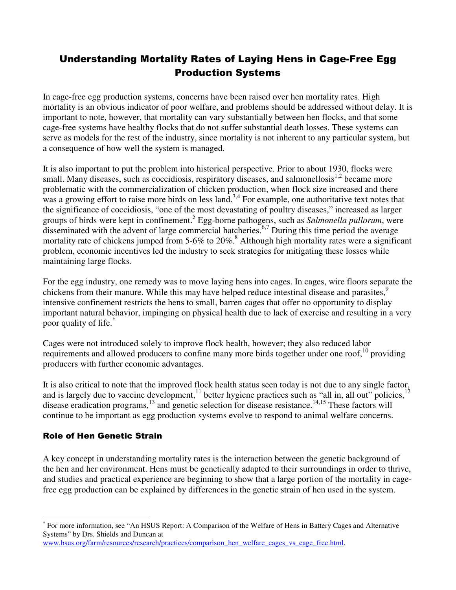# Understanding Mortality Rates of Laying Hens in Cage-Free Egg Production Systems

In cage-free egg production systems, concerns have been raised over hen mortality rates. High mortality is an obvious indicator of poor welfare, and problems should be addressed without delay. It is important to note, however, that mortality can vary substantially between hen flocks, and that some cage-free systems have healthy flocks that do not suffer substantial death losses. These systems can serve as models for the rest of the industry, since mortality is not inherent to any particular system, but a consequence of how well the system is managed.

It is also important to put the problem into historical perspective. Prior to about 1930, flocks were small. Many diseases, such as coccidiosis, respiratory diseases, and salmonellosis<sup>1,2</sup> became more problematic with the commercialization of chicken production, when flock size increased and there was a growing effort to raise more birds on less land.<sup>3,4</sup> For example, one authoritative text notes that the significance of coccidiosis, "one of the most devastating of poultry diseases," increased as larger groups of birds were kept in confinement.<sup>5</sup> Egg-borne pathogens, such as *Salmonella pullorum*, were disseminated with the advent of large commercial hatcheries.<sup>6,7</sup> During this time period the average mortality rate of chickens jumped from 5-6% to  $20\%$ .<sup>8</sup> Although high mortality rates were a significant problem, economic incentives led the industry to seek strategies for mitigating these losses while maintaining large flocks.

For the egg industry, one remedy was to move laying hens into cages. In cages, wire floors separate the chickens from their manure. While this may have helped reduce intestinal disease and parasites,<sup>9</sup> intensive confinement restricts the hens to small, barren cages that offer no opportunity to display important natural behavior, impinging on physical health due to lack of exercise and resulting in a very poor quality of life.\*

Cages were not introduced solely to improve flock health, however; they also reduced labor requirements and allowed producers to confine many more birds together under one roof,  $10$  providing producers with further economic advantages.

It is also critical to note that the improved flock health status seen today is not due to any single factor, and is largely due to vaccine development,<sup>11</sup> better hygiene practices such as "all in, all out" policies,<sup>12</sup> disease eradication programs, $^{13}$  and genetic selection for disease resistance.<sup>14,15</sup> These factors will continue to be important as egg production systems evolve to respond to animal welfare concerns.

## Role of Hen Genetic Strain

A key concept in understanding mortality rates is the interaction between the genetic background of the hen and her environment. Hens must be genetically adapted to their surroundings in order to thrive, and studies and practical experience are beginning to show that a large portion of the mortality in cagefree egg production can be explained by differences in the genetic strain of hen used in the system.

 $\overline{a}$ \* For more information, see "An HSUS Report: A Comparison of the Welfare of Hens in Battery Cages and Alternative Systems" by Drs. Shields and Duncan at

www.hsus.org/farm/resources/research/practices/comparison\_hen\_welfare\_cages\_vs\_cage\_free.html.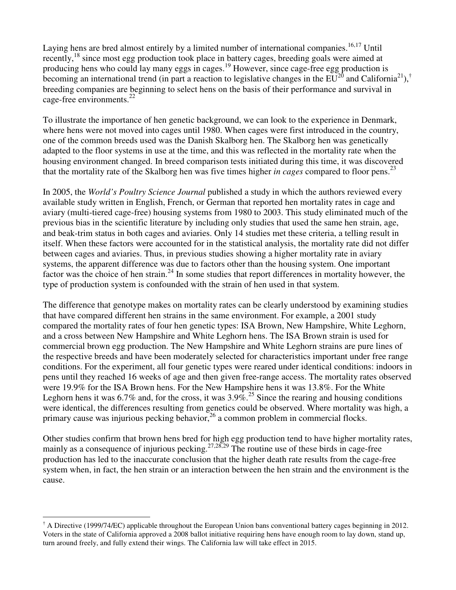Laying hens are bred almost entirely by a limited number of international companies.<sup>16,17</sup> Until recently,<sup>18</sup> since most egg production took place in battery cages, breeding goals were aimed at producing hens who could lay many eggs in cages.<sup>19</sup> However, since cage-free egg production is becoming an international trend (in part a reaction to legislative changes in the  $EU^{20}$  and California<sup>21</sup>),<sup>†</sup> breeding companies are beginning to select hens on the basis of their performance and survival in cage-free environments. $^{22}$ 

To illustrate the importance of hen genetic background, we can look to the experience in Denmark, where hens were not moved into cages until 1980. When cages were first introduced in the country, one of the common breeds used was the Danish Skalborg hen. The Skalborg hen was genetically adapted to the floor systems in use at the time, and this was reflected in the mortality rate when the housing environment changed. In breed comparison tests initiated during this time, it was discovered that the mortality rate of the Skalborg hen was five times higher *in cages* compared to floor pens.<sup>23</sup>

In 2005, the *World's Poultry Science Journal* published a study in which the authors reviewed every available study written in English, French, or German that reported hen mortality rates in cage and aviary (multi-tiered cage-free) housing systems from 1980 to 2003. This study eliminated much of the previous bias in the scientific literature by including only studies that used the same hen strain, age, and beak-trim status in both cages and aviaries. Only 14 studies met these criteria, a telling result in itself. When these factors were accounted for in the statistical analysis, the mortality rate did not differ between cages and aviaries. Thus, in previous studies showing a higher mortality rate in aviary systems, the apparent difference was due to factors other than the housing system. One important factor was the choice of hen strain.<sup>24</sup> In some studies that report differences in mortality however, the type of production system is confounded with the strain of hen used in that system.

The difference that genotype makes on mortality rates can be clearly understood by examining studies that have compared different hen strains in the same environment. For example, a 2001 study compared the mortality rates of four hen genetic types: ISA Brown, New Hampshire, White Leghorn, and a cross between New Hampshire and White Leghorn hens. The ISA Brown strain is used for commercial brown egg production. The New Hampshire and White Leghorn strains are pure lines of the respective breeds and have been moderately selected for characteristics important under free range conditions. For the experiment, all four genetic types were reared under identical conditions: indoors in pens until they reached 16 weeks of age and then given free-range access. The mortality rates observed were 19.9% for the ISA Brown hens. For the New Hampshire hens it was 13.8%. For the White Leghorn hens it was  $6.7\%$  and, for the cross, it was  $3.9\%$ <sup>25</sup>. Since the rearing and housing conditions were identical, the differences resulting from genetics could be observed. Where mortality was high, a primary cause was injurious pecking behavior,  $^{26}$  a common problem in commercial flocks.

Other studies confirm that brown hens bred for high egg production tend to have higher mortality rates, mainly as a consequence of injurious pecking.<sup>27,28,29</sup> The routine use of these birds in cage-free production has led to the inaccurate conclusion that the higher death rate results from the cage-free system when, in fact, the hen strain or an interaction between the hen strain and the environment is the cause.

 $\overline{a}$ † A Directive (1999/74/EC) applicable throughout the European Union bans conventional battery cages beginning in 2012. Voters in the state of California approved a 2008 ballot initiative requiring hens have enough room to lay down, stand up, turn around freely, and fully extend their wings. The California law will take effect in 2015.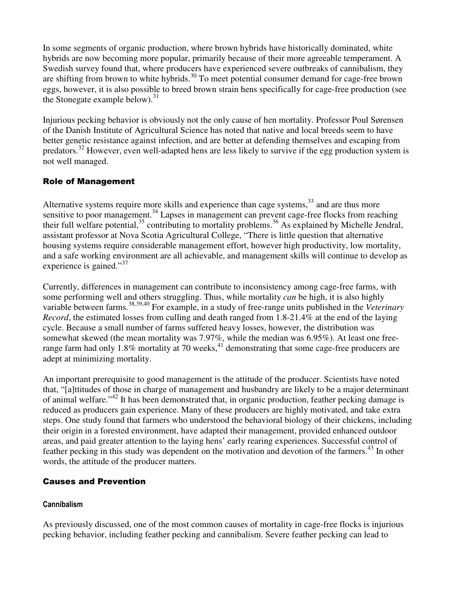In some segments of organic production, where brown hybrids have historically dominated, white hybrids are now becoming more popular, primarily because of their more agreeable temperament. A Swedish survey found that, where producers have experienced severe outbreaks of cannibalism, they are shifting from brown to white hybrids.<sup>30</sup> To meet potential consumer demand for cage-free brown eggs, however, it is also possible to breed brown strain hens specifically for cage-free production (see the Stonegate example below). $31$ 

Injurious pecking behavior is obviously not the only cause of hen mortality. Professor Poul Sørensen of the Danish Institute of Agricultural Science has noted that native and local breeds seem to have better genetic resistance against infection, and are better at defending themselves and escaping from predators.<sup>32</sup> However, even well-adapted hens are less likely to survive if the egg production system is not well managed.

## Role of Management

Alternative systems require more skills and experience than cage systems, $33$  and are thus more sensitive to poor management.<sup>34</sup> Lapses in management can prevent cage-free flocks from reaching their full welfare potential,  $35$  contributing to mortality problems.  $36$  As explained by Michelle Jendral, assistant professor at Nova Scotia Agricultural College, "There is little question that alternative housing systems require considerable management effort, however high productivity, low mortality, and a safe working environment are all achievable, and management skills will continue to develop as experience is gained."<sup>37</sup>

Currently, differences in management can contribute to inconsistency among cage-free farms, with some performing well and others struggling. Thus, while mortality *can* be high, it is also highly variable between farms.<sup>38,39,40</sup> For example, in a study of free-range units published in the *Veterinary Record*, the estimated losses from culling and death ranged from 1.8-21.4% at the end of the laying cycle. Because a small number of farms suffered heavy losses, however, the distribution was somewhat skewed (the mean mortality was 7.97%, while the median was 6.95%). At least one freerange farm had only  $1.8\%$  mortality at 70 weeks,<sup>41</sup> demonstrating that some cage-free producers are adept at minimizing mortality.

An important prerequisite to good management is the attitude of the producer. Scientists have noted that, "[a]ttitudes of those in charge of management and husbandry are likely to be a major determinant of animal welfare."<sup>42</sup> It has been demonstrated that, in organic production, feather pecking damage is reduced as producers gain experience. Many of these producers are highly motivated, and take extra steps. One study found that farmers who understood the behavioral biology of their chickens, including their origin in a forested environment, have adapted their management, provided enhanced outdoor areas, and paid greater attention to the laying hens' early rearing experiences. Successful control of feather pecking in this study was dependent on the motivation and devotion of the farmers.<sup>43</sup> In other words, the attitude of the producer matters.

## Causes and Prevention

## Cannibalism

As previously discussed, one of the most common causes of mortality in cage-free flocks is injurious pecking behavior, including feather pecking and cannibalism. Severe feather pecking can lead to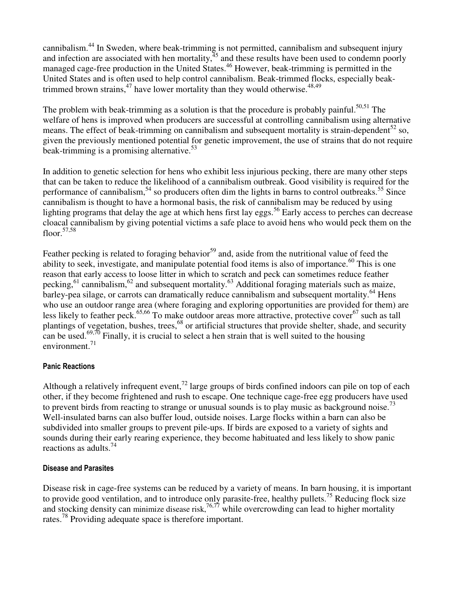cannibalism.<sup>44</sup> In Sweden, where beak-trimming is not permitted, cannibalism and subsequent injury and infection are associated with hen mortality, $45$  and these results have been used to condemn poorly managed cage-free production in the United States.<sup>46</sup> However, beak-trimming is permitted in the United States and is often used to help control cannibalism. Beak-trimmed flocks, especially beaktrimmed brown strains,  $47$  have lower mortality than they would otherwise.  $48,49$ 

The problem with beak-trimming as a solution is that the procedure is probably painful.<sup>50,51</sup> The welfare of hens is improved when producers are successful at controlling cannibalism using alternative means. The effect of beak-trimming on cannibalism and subsequent mortality is strain-dependent<sup>52</sup> so, given the previously mentioned potential for genetic improvement, the use of strains that do not require beak-trimming is a promising alternative.<sup>53</sup>

In addition to genetic selection for hens who exhibit less injurious pecking, there are many other steps that can be taken to reduce the likelihood of a cannibalism outbreak. Good visibility is required for the performance of cannibalism,<sup>54</sup> so producers often dim the lights in barns to control outbreaks.<sup>55</sup> Since cannibalism is thought to have a hormonal basis, the risk of cannibalism may be reduced by using lighting programs that delay the age at which hens first lay eggs.<sup>56</sup> Early access to perches can decrease cloacal cannibalism by giving potential victims a safe place to avoid hens who would peck them on the floor. $57,58$ 

Feather pecking is related to foraging behavior<sup>59</sup> and, aside from the nutritional value of feed the ability to seek, investigate, and manipulate potential food items is also of importance.<sup>60</sup> This is one reason that early access to loose litter in which to scratch and peck can sometimes reduce feather pecking,  $61$  cannibalism,  $62$  and subsequent mortality.  $63$  Additional foraging materials such as maize, barley-pea silage, or carrots can dramatically reduce cannibalism and subsequent mortality.<sup>64</sup> Hens who use an outdoor range area (where foraging and exploring opportunities are provided for them) are less likely to feather peck.<sup>65,66</sup> To make outdoor areas more attractive, protective cover<sup>67</sup> such as tall plantings of vegetation, bushes, trees,<sup>68</sup> or artificial structures that provide shelter, shade, and security can be used.<sup>69,70</sup> Finally, it is crucial to select a hen strain that is well suited to the housing environment.<sup>71</sup>

### Panic Reactions

Although a relatively infrequent event,<sup>72</sup> large groups of birds confined indoors can pile on top of each other, if they become frightened and rush to escape. One technique cage-free egg producers have used to prevent birds from reacting to strange or unusual sounds is to play music as background noise.<sup>73</sup> Well-insulated barns can also buffer loud, outside noises. Large flocks within a barn can also be subdivided into smaller groups to prevent pile-ups. If birds are exposed to a variety of sights and sounds during their early rearing experience, they become habituated and less likely to show panic reactions as adults.<sup>74</sup>

### Disease and Parasites

Disease risk in cage-free systems can be reduced by a variety of means. In barn housing, it is important to provide good ventilation, and to introduce only parasite-free, healthy pullets.<sup>75</sup> Reducing flock size and stocking density can minimize disease risk,  $76,77$  while overcrowding can lead to higher mortality rates.<sup>78</sup> Providing adequate space is therefore important.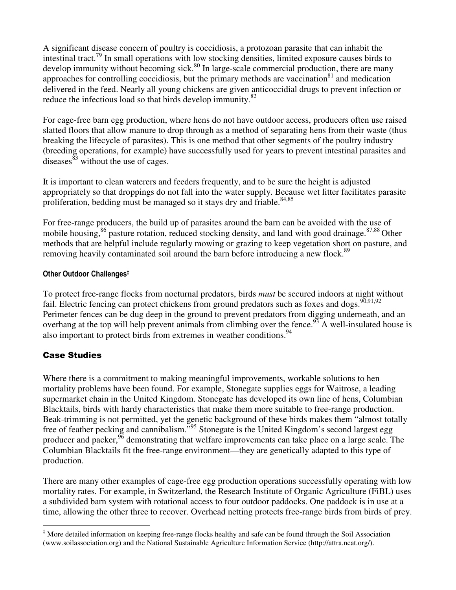A significant disease concern of poultry is coccidiosis, a protozoan parasite that can inhabit the intestinal tract.<sup>79</sup> In small operations with low stocking densities, limited exposure causes birds to develop immunity without becoming sick.<sup>80</sup> In large-scale commercial production, there are many approaches for controlling coccidiosis, but the primary methods are vaccination<sup>81</sup> and medication delivered in the feed. Nearly all young chickens are given anticoccidial drugs to prevent infection or reduce the infectious load so that birds develop immunity.<sup>82</sup>

For cage-free barn egg production, where hens do not have outdoor access, producers often use raised slatted floors that allow manure to drop through as a method of separating hens from their waste (thus breaking the lifecycle of parasites). This is one method that other segments of the poultry industry (breeding operations, for example) have successfully used for years to prevent intestinal parasites and diseases  $\frac{83}{3}$  without the use of cages.

It is important to clean waterers and feeders frequently, and to be sure the height is adjusted appropriately so that droppings do not fall into the water supply. Because wet litter facilitates parasite proliferation, bedding must be managed so it stays dry and friable.<sup>84,85</sup>

For free-range producers, the build up of parasites around the barn can be avoided with the use of mobile housing,  $86$  pasture rotation, reduced stocking density, and land with good drainage.  $87,88$  Other methods that are helpful include regularly mowing or grazing to keep vegetation short on pasture, and removing heavily contaminated soil around the barn before introducing a new flock.<sup>89</sup>

#### Other Outdoor Challenges‡

To protect free-range flocks from nocturnal predators, birds *must* be secured indoors at night without fail. Electric fencing can protect chickens from ground predators such as foxes and dogs.<sup>90,91,92</sup> Perimeter fences can be dug deep in the ground to prevent predators from digging underneath, and an overhang at the top will help prevent animals from climbing over the fence.<sup>93</sup> A well-insulated house is also important to protect birds from extremes in weather conditions.<sup>94</sup>

## Case Studies

Where there is a commitment to making meaningful improvements, workable solutions to hen mortality problems have been found. For example, Stonegate supplies eggs for Waitrose, a leading supermarket chain in the United Kingdom. Stonegate has developed its own line of hens, Columbian Blacktails, birds with hardy characteristics that make them more suitable to free-range production. Beak-trimming is not permitted, yet the genetic background of these birds makes them "almost totally free of feather pecking and cannibalism."<sup>95</sup> Stonegate is the United Kingdom's second largest egg producer and packer,<sup>96</sup> demonstrating that welfare improvements can take place on a large scale. The Columbian Blacktails fit the free-range environment—they are genetically adapted to this type of production.

There are many other examples of cage-free egg production operations successfully operating with low mortality rates. For example, in Switzerland, the Research Institute of Organic Agriculture (FiBL) uses a subdivided barn system with rotational access to four outdoor paddocks. One paddock is in use at a time, allowing the other three to recover. Overhead netting protects free-range birds from birds of prey.

 $\overline{a}$ ‡ More detailed information on keeping free-range flocks healthy and safe can be found through the Soil Association (www.soilassociation.org) and the National Sustainable Agriculture Information Service (http://attra.ncat.org/).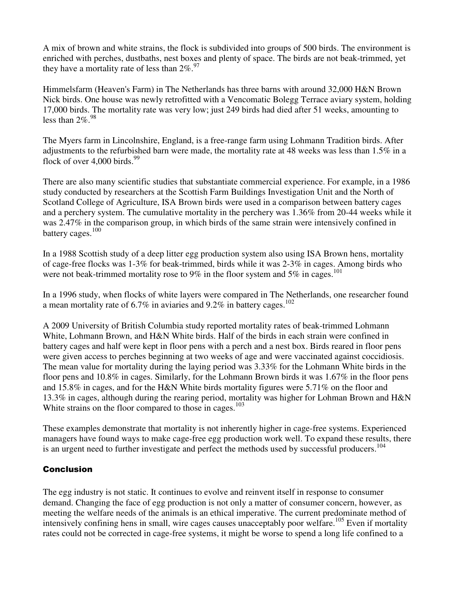A mix of brown and white strains, the flock is subdivided into groups of 500 birds. The environment is enriched with perches, dustbaths, nest boxes and plenty of space. The birds are not beak-trimmed, yet they have a mortality rate of less than  $2\%$ . <sup>97</sup>

Himmelsfarm (Heaven's Farm) in The Netherlands has three barns with around 32,000 H&N Brown Nick birds. One house was newly retrofitted with a Vencomatic Bolegg Terrace aviary system, holding 17,000 birds. The mortality rate was very low; just 249 birds had died after 51 weeks, amounting to less than  $2\%$ .  $^{98}$ 

The Myers farm in Lincolnshire, England, is a free-range farm using Lohmann Tradition birds. After adjustments to the refurbished barn were made, the mortality rate at 48 weeks was less than 1.5% in a flock of over  $4,000$  birds.<sup>99</sup>

There are also many scientific studies that substantiate commercial experience. For example, in a 1986 study conducted by researchers at the Scottish Farm Buildings Investigation Unit and the North of Scotland College of Agriculture, ISA Brown birds were used in a comparison between battery cages and a perchery system. The cumulative mortality in the perchery was 1.36% from 20-44 weeks while it was 2.47% in the comparison group, in which birds of the same strain were intensively confined in battery cages.<sup>100</sup>

In a 1988 Scottish study of a deep litter egg production system also using ISA Brown hens, mortality of cage-free flocks was 1-3% for beak-trimmed, birds while it was 2-3% in cages. Among birds who were not beak-trimmed mortality rose to 9% in the floor system and 5% in cages.<sup>101</sup>

In a 1996 study, when flocks of white layers were compared in The Netherlands, one researcher found a mean mortality rate of 6.7% in aviaries and 9.2% in battery cages.<sup>102</sup>

A 2009 University of British Columbia study reported mortality rates of beak-trimmed Lohmann White, Lohmann Brown, and H&N White birds. Half of the birds in each strain were confined in battery cages and half were kept in floor pens with a perch and a nest box. Birds reared in floor pens were given access to perches beginning at two weeks of age and were vaccinated against coccidiosis. The mean value for mortality during the laying period was 3.33% for the Lohmann White birds in the floor pens and 10.8% in cages. Similarly, for the Lohmann Brown birds it was 1.67% in the floor pens and 15.8% in cages, and for the H&N White birds mortality figures were 5.71% on the floor and 13.3% in cages, although during the rearing period, mortality was higher for Lohman Brown and H&N White strains on the floor compared to those in cages.<sup>103</sup>

These examples demonstrate that mortality is not inherently higher in cage-free systems. Experienced managers have found ways to make cage-free egg production work well. To expand these results, there is an urgent need to further investigate and perfect the methods used by successful producers.<sup>104</sup>

## Conclusion

The egg industry is not static. It continues to evolve and reinvent itself in response to consumer demand. Changing the face of egg production is not only a matter of consumer concern, however, as meeting the welfare needs of the animals is an ethical imperative. The current predominate method of intensively confining hens in small, wire cages causes unacceptably poor welfare.<sup>105</sup> Even if mortality rates could not be corrected in cage-free systems, it might be worse to spend a long life confined to a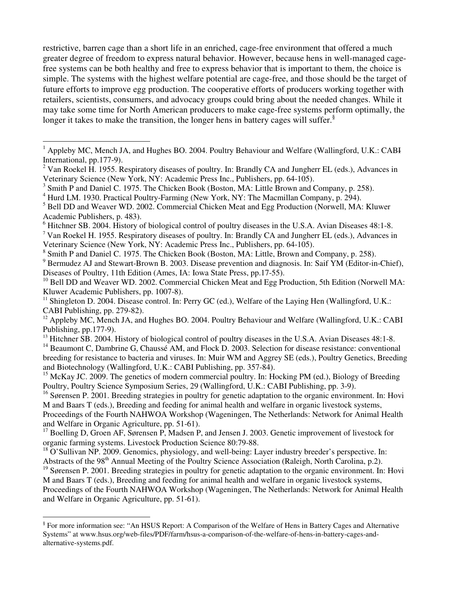restrictive, barren cage than a short life in an enriched, cage-free environment that offered a much greater degree of freedom to express natural behavior. However, because hens in well-managed cagefree systems can be both healthy and free to express behavior that is important to them, the choice is simple. The systems with the highest welfare potential are cage-free, and those should be the target of future efforts to improve egg production. The cooperative efforts of producers working together with retailers, scientists, consumers, and advocacy groups could bring about the needed changes. While it may take some time for North American producers to make cage-free systems perform optimally, the longer it takes to make the transition, the longer hens in battery cages will suffer.<sup>§</sup>

<sup>6</sup> Hitchner SB. 2004. History of biological control of poultry diseases in the U.S.A. Avian Diseases 48:1-8.

<sup>7</sup> Van Roekel H. 1955. Respiratory diseases of poultry. In: Brandly CA and Jungherr EL (eds.), Advances in Veterinary Science (New York, NY: Academic Press Inc., Publishers, pp. 64-105).

<sup>8</sup> Smith P and Daniel C. 1975. The Chicken Book (Boston, MA: Little, Brown and Company, p. 258).

<sup>9</sup> Bermudez AJ and Stewart-Brown B. 2003. Disease prevention and diagnosis. In: Saif YM (Editor-in-Chief), Diseases of Poultry, 11th Edition (Ames, IA: Iowa State Press, pp.17-55).

<sup>16</sup> Sørensen P. 2001. Breeding strategies in poultry for genetic adaptation to the organic environment. In: Hovi M and Baars T (eds.), Breeding and feeding for animal health and welfare in organic livestock systems, Proceedings of the Fourth NAHWOA Workshop (Wageningen, The Netherlands: Network for Animal Health and Welfare in Organic Agriculture, pp. 51-61).

<sup>17</sup> Boelling D, Groen AF, Sørensen P, Madsen P, and Jensen J. 2003. Genetic improvement of livestock for organic farming systems. Livestock Production Science 80:79-88.

 $18$  O'Sullivan NP. 2009. Genomics, physiology, and well-being: Layer industry breeder's perspective. In: Abstracts of the 98<sup>th</sup> Annual Meeting of the Poultry Science Association (Raleigh, North Carolina, p.2).

 $19$  Sørensen P. 2001. Breeding strategies in poultry for genetic adaptation to the organic environment. In: Hovi M and Baars T (eds.), Breeding and feeding for animal health and welfare in organic livestock systems, Proceedings of the Fourth NAHWOA Workshop (Wageningen, The Netherlands: Network for Animal Health and Welfare in Organic Agriculture, pp. 51-61).

<sup>&</sup>lt;sup>1</sup> Appleby MC, Mench JA, and Hughes BO. 2004. Poultry Behaviour and Welfare (Wallingford, U.K.: CABH International, pp.177-9).

<sup>&</sup>lt;sup>2</sup> Van Roekel H. 1955. Respiratory diseases of poultry. In: Brandly CA and Jungherr EL (eds.), Advances in Veterinary Science (New York, NY: Academic Press Inc., Publishers, pp. 64-105).

<sup>&</sup>lt;sup>3</sup> Smith P and Daniel C. 1975. The Chicken Book (Boston, MA: Little Brown and Company, p. 258).

<sup>&</sup>lt;sup>4</sup> Hurd LM. 1930. Practical Poultry-Farming (New York, NY: The Macmillan Company, p. 294).

<sup>&</sup>lt;sup>5</sup> Bell DD and Weaver WD. 2002. Commercial Chicken Meat and Egg Production (Norwell, MA: Kluwer Academic Publishers, p. 483).

 $10$  Bell DD and Weaver WD. 2002. Commercial Chicken Meat and Egg Production, 5th Edition (Norwell MA: Kluwer Academic Publishers, pp. 1007-8).

<sup>&</sup>lt;sup>11</sup> Shingleton D. 2004. Disease control. In: Perry GC (ed.), Welfare of the Laying Hen (Wallingford, U.K.: CABI Publishing, pp. 279-82).

<sup>&</sup>lt;sup>12</sup> Appleby MC, Mench JA, and Hughes BO. 2004. Poultry Behaviour and Welfare (Wallingford, U.K.: CABI Publishing, pp.177-9).

<sup>&</sup>lt;sup>13</sup> Hitchner SB. 2004. History of biological control of poultry diseases in the U.S.A. Avian Diseases 48:1-8.

<sup>&</sup>lt;sup>14</sup> Beaumont C, Dambrine G, Chaussé AM, and Flock D. 2003. Selection for disease resistance: conventional breeding for resistance to bacteria and viruses. In: Muir WM and Aggrey SE (eds.), Poultry Genetics, Breeding and Biotechnology (Wallingford, U.K.: CABI Publishing, pp. 357-84).

<sup>&</sup>lt;sup>15</sup> McKay JC. 2009. The genetics of modern commercial poultry. In: Hocking PM (ed.), Biology of Breeding Poultry, Poultry Science Symposium Series, 29 (Wallingford, U.K.: CABI Publishing, pp. 3-9).

 § For more information see: "An HSUS Report: A Comparison of the Welfare of Hens in Battery Cages and Alternative Systems" at www.hsus.org/web-files/PDF/farm/hsus-a-comparison-of-the-welfare-of-hens-in-battery-cages-andalternative-systems.pdf.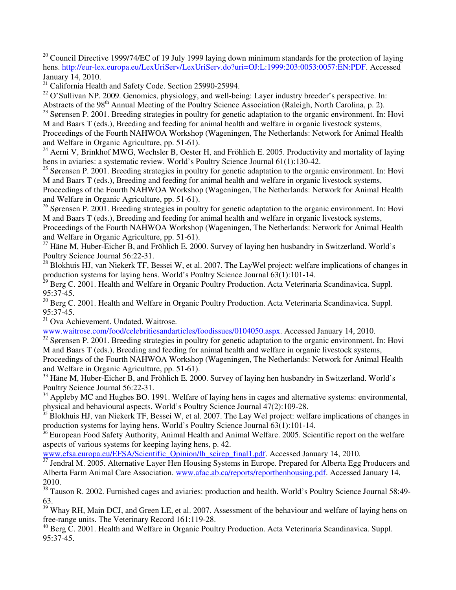$\overline{a}$ <sup>20</sup> Council Directive 1999/74/EC of 19 July 1999 laying down minimum standards for the protection of laying hens. http://eur-lex.europa.eu/LexUriServ/LexUriServ.do?uri=OJ:L:1999:203:0053:0057:EN:PDF. Accessed January 14, 2010.

<sup>21</sup> California Health and Safety Code. Section 25990-25994.

 $^{22}$  O'Sullivan NP. 2009. Genomics, physiology, and well-being: Layer industry breeder's perspective. In:

Abstracts of the 98<sup>th</sup> Annual Meeting of the Poultry Science Association (Raleigh, North Carolina, p. 2).

<sup>23</sup> Sørensen P. 2001. Breeding strategies in poultry for genetic adaptation to the organic environment. In: Hovi M and Baars T (eds.), Breeding and feeding for animal health and welfare in organic livestock systems, Proceedings of the Fourth NAHWOA Workshop (Wageningen, The Netherlands: Network for Animal Health and Welfare in Organic Agriculture, pp. 51-61).

<sup>24</sup> Aerni V, Brinkhof MWG, Wechsler B, Oester H, and Fröhlich E. 2005. Productivity and mortality of laying hens in aviaries: a systematic review. World's Poultry Science Journal 61(1):130-42.

 $^{25}$  Sørensen P. 2001. Breeding strategies in poultry for genetic adaptation to the organic environment. In: Hovi M and Baars T (eds.), Breeding and feeding for animal health and welfare in organic livestock systems,

Proceedings of the Fourth NAHWOA Workshop (Wageningen, The Netherlands: Network for Animal Health and Welfare in Organic Agriculture, pp. 51-61).

<sup>26</sup> Sørensen P. 2001. Breeding strategies in poultry for genetic adaptation to the organic environment. In: Hovi M and Baars T (eds.), Breeding and feeding for animal health and welfare in organic livestock systems, Proceedings of the Fourth NAHWOA Workshop (Wageningen, The Netherlands: Network for Animal Health and Welfare in Organic Agriculture, pp. 51-61).

<sup>27</sup> Häne M, Huber-Eicher B, and Fröhlich E. 2000. Survey of laying hen husbandry in Switzerland. World's Poultry Science Journal 56:22-31.

 $^{28}$  Blokhuis HJ, van Niekerk TF, Bessei W, et al. 2007. The LayWel project: welfare implications of changes in production systems for laying hens. World's Poultry Science Journal 63(1):101-14.

<sup>29</sup> Berg C. 2001. Health and Welfare in Organic Poultry Production. Acta Veterinaria Scandinavica. Suppl. 95:37-45.

<sup>30</sup> Berg C. 2001. Health and Welfare in Organic Poultry Production. Acta Veterinaria Scandinavica. Suppl. 95:37-45.

<sup>31</sup> Ova Achievement. Undated. Waitrose.

www.waitrose.com/food/celebritiesandarticles/foodissues/0104050.aspx. Accessed January 14, 2010.

 $\frac{32}{32}$  Sørensen P. 2001. Breeding strategies in poultry for genetic adaptation to the organic environment. In: Hovi M and Baars T (eds.), Breeding and feeding for animal health and welfare in organic livestock systems, Proceedings of the Fourth NAHWOA Workshop (Wageningen, The Netherlands: Network for Animal Health and Welfare in Organic Agriculture, pp. 51-61).

<sup>33</sup> Häne M, Huber-Eicher B, and Fröhlich E. 2000. Survey of laying hen husbandry in Switzerland. World's Poultry Science Journal 56:22-31.

<sup>34</sup> Appleby MC and Hughes BO. 1991. Welfare of laying hens in cages and alternative systems: environmental, physical and behavioural aspects. World's Poultry Science Journal 47(2):109-28.

 $35$  Blokhuis HJ, van Niekerk TF, Bessei W, et al. 2007. The Lay Wel project: welfare implications of changes in production systems for laying hens. World's Poultry Science Journal 63(1):101-14.

 $36$  European Food Safety Authority, Animal Health and Animal Welfare. 2005. Scientific report on the welfare aspects of various systems for keeping laying hens, p. 42.

www.efsa.europa.eu/EFSA/Scientific\_Opinion/lh\_scirep\_final1.pdf. Accessed January 14, 2010.

<sup>37</sup> Jendral M. 2005. Alternative Layer Hen Housing Systems in Europe. Prepared for Alberta Egg Producers and Alberta Farm Animal Care Association. www.afac.ab.ca/reports/reporthenhousing.pdf. Accessed January 14, 2010.

<sup>38</sup> Tauson R. 2002. Furnished cages and aviaries: production and health. World's Poultry Science Journal 58:49-63.

<sup>39</sup> Whay RH, Main DCJ, and Green LE, et al. 2007. Assessment of the behaviour and welfare of laying hens on free-range units. The Veterinary Record 161:119-28.

<sup>40</sup> Berg C. 2001. Health and Welfare in Organic Poultry Production. Acta Veterinaria Scandinavica. Suppl. 95:37-45.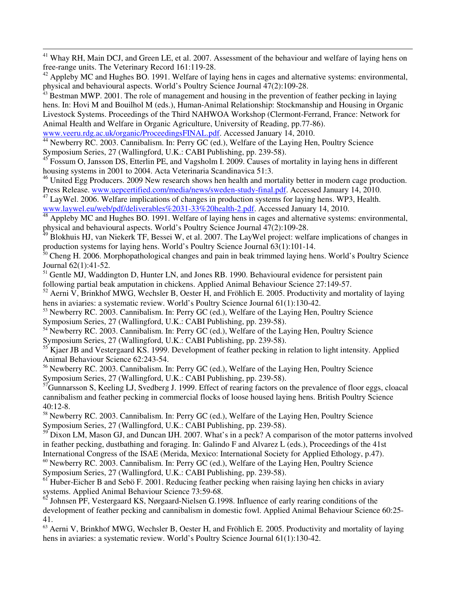$\overline{a}$ <sup>41</sup> Whay RH, Main DCJ, and Green LE, et al. 2007. Assessment of the behaviour and welfare of laying hens on free-range units. The Veterinary Record 161:119-28.

 $^{42}$  Appleby MC and Hughes BO. 1991. Welfare of laying hens in cages and alternative systems: environmental, physical and behavioural aspects. World's Poultry Science Journal 47(2):109-28.

 $43$  Bestman MWP. 2001. The role of management and housing in the prevention of feather pecking in laying hens. In: Hovi M and Bouilhol M (eds.), Human-Animal Relationship: Stockmanship and Housing in Organic Livestock Systems. Proceedings of the Third NAHWOA Workshop (Clermont-Ferrand, France: Network for Animal Health and Welfare in Organic Agriculture, University of Reading, pp.77-86).

www.veeru.rdg.ac.uk/organic/ProceedingsFINAL.pdf. Accessed January 14, 2010.

<sup>44</sup> Newberry RC. 2003. Cannibalism. In: Perry GC (ed.), Welfare of the Laying Hen, Poultry Science Symposium Series, 27 (Wallingford, U.K.: CABI Publishing, pp. 239-58).

<sup>45</sup> Fossum O, Jansson DS, Etterlin PE, and Vagsholm I. 2009. Causes of mortality in laying hens in different housing systems in 2001 to 2004. Acta Veterinaria Scandinavica 51:3.

<sup>46</sup> United Egg Producers. 2009 New research shows hen health and mortality better in modern cage production. Press Release. www.uepcertified.com/media/news/sweden-study-final.pdf. Accessed January 14, 2010.

<sup>47</sup> LayWel. 2006. Welfare implications of changes in production systems for laying hens. WP3, Health. www.laywel.eu/web/pdf/deliverables%2031-33%20health-2.pdf. Accessed January 14, 2010.

<sup>48</sup> Appleby MC and Hughes BO. 1991. Welfare of laying hens in cages and alternative systems: environmental, physical and behavioural aspects. World's Poultry Science Journal 47(2):109-28.

 $^{49}$  Blokhuis HJ, van Niekerk TF, Bessei W, et al. 2007. The LayWel project: welfare implications of changes in production systems for laying hens. World's Poultry Science Journal 63(1):101-14.

<sup>50</sup> Cheng H. 2006. Morphopathological changes and pain in beak trimmed laying hens. World's Poultry Science Journal 62(1):41-52.

<sup>51</sup> Gentle MJ, Waddington D, Hunter LN, and Jones RB. 1990. Behavioural evidence for persistent pain following partial beak amputation in chickens. Applied Animal Behaviour Science 27:149-57.

 $52$  Aerni V, Brinkhof MWG, Wechsler B, Oester H, and Fröhlich E. 2005. Productivity and mortality of laying hens in aviaries: a systematic review. World's Poultry Science Journal 61(1):130-42.

<sup>53</sup> Newberry RC. 2003. Cannibalism. In: Perry GC (ed.), Welfare of the Laying Hen, Poultry Science Symposium Series, 27 (Wallingford, U.K.: CABI Publishing, pp. 239-58).

<sup>54</sup> Newberry RC. 2003. Cannibalism. In: Perry GC (ed.), Welfare of the Laying Hen, Poultry Science Symposium Series, 27 (Wallingford, U.K.: CABI Publishing, pp. 239-58).

<sup>55</sup> Kjaer JB and Vestergaard KS. 1999. Development of feather pecking in relation to light intensity. Applied Animal Behaviour Science 62:243-54.

<sup>56</sup> Newberry RC. 2003. Cannibalism. In: Perry GC (ed.), Welfare of the Laying Hen, Poultry Science Symposium Series, 27 (Wallingford, U.K.: CABI Publishing, pp. 239-58).

<sup>57</sup>Gunnarsson S, Keeling LJ, Svedberg J. 1999. Effect of rearing factors on the prevalence of floor eggs, cloacal cannibalism and feather pecking in commercial flocks of loose housed laying hens. British Poultry Science 40:12-8.

<sup>58</sup> Newberry RC. 2003. Cannibalism. In: Perry GC (ed.), Welfare of the Laying Hen, Poultry Science Symposium Series, 27 (Wallingford, U.K.: CABI Publishing, pp. 239-58).

 $59$  Dixon LM, Mason GJ, and Duncan IJH. 2007. What's in a peck? A comparison of the motor patterns involved in feather pecking, dustbathing and foraging. In: Galindo F and Alvarez L (eds.), Proceedings of the 41st International Congress of the ISAE (Merida, Mexico: International Society for Applied Ethology, p.47).

<sup>60</sup> Newberry RC. 2003. Cannibalism. In: Perry GC (ed.), Welfare of the Laying Hen, Poultry Science Symposium Series, 27 (Wallingford, U.K.: CABI Publishing, pp. 239-58).

 $<sup>61</sup>$  Huber-Eicher B and Sebö F. 2001. Reducing feather pecking when raising laying hen chicks in aviary</sup> systems. Applied Animal Behaviour Science 73:59-68.

 $62$  Johnsen PF, Vestergaard KS, Nørgaard-Nielsen G.1998. Influence of early rearing conditions of the development of feather pecking and cannibalism in domestic fowl. Applied Animal Behaviour Science 60:25- 41.

 $63$  Aerni V, Brinkhof MWG, Wechsler B, Oester H, and Fröhlich E. 2005. Productivity and mortality of laying hens in aviaries: a systematic review. World's Poultry Science Journal 61(1):130-42.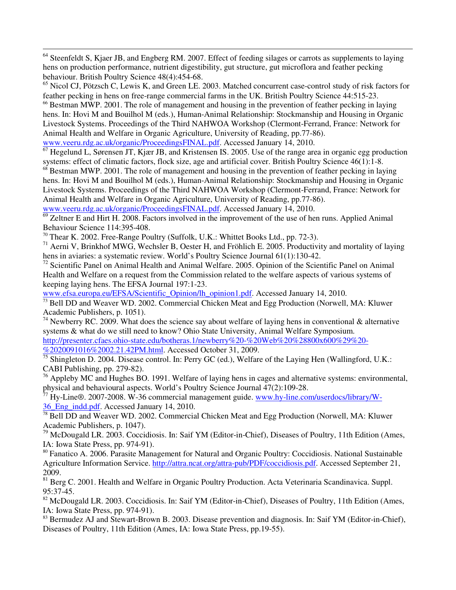<sup>64</sup> Steenfeldt S, Kjaer JB, and Engberg RM. 2007. Effect of feeding silages or carrots as supplements to laying hens on production performance, nutrient digestibility, gut structure, gut microflora and feather pecking behaviour. British Poultry Science 48(4):454-68.

<sup>65</sup> Nicol CJ, Pötzsch C, Lewis K, and Green LE. 2003. Matched concurrent case-control study of risk factors for feather pecking in hens on free-range commercial farms in the UK. British Poultry Science 44:515-23.

<sup>66</sup> Bestman MWP. 2001. The role of management and housing in the prevention of feather pecking in laying hens. In: Hovi M and Bouilhol M (eds.), Human-Animal Relationship: Stockmanship and Housing in Organic Livestock Systems. Proceedings of the Third NAHWOA Workshop (Clermont-Ferrand, France: Network for Animal Health and Welfare in Organic Agriculture, University of Reading, pp.77-86). www.veeru.rdg.ac.uk/organic/ProceedingsFINAL.pdf. Accessed January 14, 2010.

<sup>67</sup> Hegelund L, Sørensen JT, Kjær JB, and Kristensen IS. 2005. Use of the range area in organic egg production systems: effect of climatic factors, flock size, age and artificial cover. British Poultry Science 46(1):1-8.

 $68$  Bestman MWP. 2001. The role of management and housing in the prevention of feather pecking in laying hens. In: Hovi M and Bouilhol M (eds.), Human-Animal Relationship: Stockmanship and Housing in Organic Livestock Systems. Proceedings of the Third NAHWOA Workshop (Clermont-Ferrand, France: Network for Animal Health and Welfare in Organic Agriculture, University of Reading, pp.77-86).

www.veeru.rdg.ac.uk/organic/ProceedingsFINAL.pdf. Accessed January 14, 2010.

 $\overline{a}$ 

 $\overline{69}$  Zeltner E and Hirt H. 2008. Factors involved in the improvement of the use of hen runs. Applied Animal Behaviour Science 114:395-408.

<sup>70</sup> Thear K. 2002. Free-Range Poultry (Suffolk, U.K.: Whittet Books Ltd., pp. 72-3).

<sup>71</sup> Aerni V, Brinkhof MWG, Wechsler B, Oester H, and Fröhlich E. 2005. Productivity and mortality of laying hens in aviaries: a systematic review. World's Poultry Science Journal 61(1):130-42.

 $72$  Scientific Panel on Animal Health and Animal Welfare. 2005. Opinion of the Scientific Panel on Animal Health and Welfare on a request from the Commission related to the welfare aspects of various systems of keeping laying hens. The EFSA Journal 197:1-23.

www.efsa.europa.eu/EFSA/Scientific\_Opinion/lh\_opinion1.pdf. Accessed January 14, 2010.

 $\frac{73}{12}$  Bell DD and Weaver WD. 2002. Commercial Chicken Meat and Egg Production (Norwell, MA: Kluwer Academic Publishers, p. 1051).

<sup>74</sup> Newberry RC. 2009. What does the science say about welfare of laying hens in conventional & alternative systems & what do we still need to know? Ohio State University, Animal Welfare Symposium. http://presenter.cfaes.ohio-state.edu/botheras.1/newberry%20-%20Web%20%28800x600%29%20-

%2020091016%2002.21.42PM.html. Accessed October 31, 2009.

 $\frac{75}{75}$  Shingleton D. 2004. Disease control. In: Perry GC (ed.), Welfare of the Laying Hen (Wallingford, U.K.: CABI Publishing, pp. 279-82).

 $\frac{76}{16}$  Appleby MC and Hughes BO. 1991. Welfare of laying hens in cages and alternative systems: environmental, physical and behavioural aspects. World's Poultry Science Journal 47(2):109-28.

<sup>77</sup> Hy-Line®. 2007-2008. W-36 commercial management guide. www.hy-line.com/userdocs/library/W-36\_Eng\_indd.pdf. Accessed January 14, 2010.

 $\frac{78}{78}$  Bell DD and Weaver WD. 2002. Commercial Chicken Meat and Egg Production (Norwell, MA: Kluwer) Academic Publishers, p. 1047).

<sup>79</sup> McDougald LR. 2003. Coccidiosis. In: Saif YM (Editor-in-Chief), Diseases of Poultry, 11th Edition (Ames, IA: Iowa State Press, pp. 974-91).

<sup>80</sup> Fanatico A. 2006. Parasite Management for Natural and Organic Poultry: Coccidiosis. National Sustainable Agriculture Information Service. http://attra.ncat.org/attra-pub/PDF/coccidiosis.pdf. Accessed September 21, 2009.

<sup>81</sup> Berg C. 2001. Health and Welfare in Organic Poultry Production. Acta Veterinaria Scandinavica. Suppl. 95:37-45.

<sup>82</sup> McDougald LR. 2003. Coccidiosis. In: Saif YM (Editor-in-Chief), Diseases of Poultry, 11th Edition (Ames, IA: Iowa State Press, pp. 974-91).

<sup>83</sup> Bermudez AJ and Stewart-Brown B. 2003. Disease prevention and diagnosis. In: Saif YM (Editor-in-Chief), Diseases of Poultry, 11th Edition (Ames, IA: Iowa State Press, pp.19-55).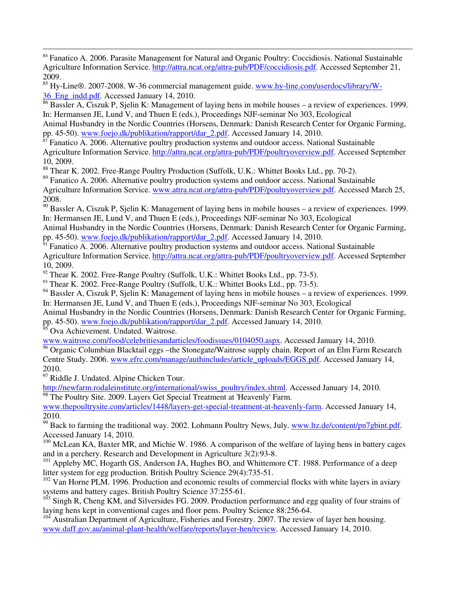$\overline{a}$ <sup>84</sup> Fanatico A. 2006. Parasite Management for Natural and Organic Poultry: Coccidiosis. National Sustainable Agriculture Information Service. http://attra.ncat.org/attra-pub/PDF/coccidiosis.pdf. Accessed September 21, 2009.

|  |                                             | <sup>85</sup> Hy-Line®. 2007-2008. W-36 commercial management guide. www.hy-line.com/userdocs/library/W- |  |  |  |
|--|---------------------------------------------|----------------------------------------------------------------------------------------------------------|--|--|--|
|  | 36 Eng indd.pdf. Accessed January 14, 2010. |                                                                                                          |  |  |  |

<sup>86</sup> Bassler A, Ciszuk P, Sjelin K: Management of laying hens in mobile houses – a review of experiences. 1999. In: Hermansen JE, Lund V, and Thuen E (eds.), Proceedings NJF-seminar No 303, Ecological

Animal Husbandry in the Nordic Countries (Horsens, Denmark: Danish Research Center for Organic Farming, pp. 45-50). www.foejo.dk/publikation/rapport/dar\_2.pdf. Accessed January 14, 2010.

<sup>87</sup> Fanatico A. 2006. Alternative poultry production systems and outdoor access. National Sustainable Agriculture Information Service. http://attra.ncat.org/attra-pub/PDF/poultryoverview.pdf. Accessed September 10, 2009.

<sup>88</sup> Thear K. 2002. Free-Range Poultry Production (Suffolk, U.K.: Whittet Books Ltd., pp. 70-2).

<sup>89</sup> Fanatico A. 2006. Alternative poultry production systems and outdoor access. National Sustainable Agriculture Information Service. www.attra.ncat.org/attra-pub/PDF/poultryoverview.pdf. Accessed March 25, 2008.

<sup>90</sup> Bassler A, Ciszuk P, Sjelin K: Management of laying hens in mobile houses – a review of experiences. 1999. In: Hermansen JE, Lund V, and Thuen E (eds.), Proceedings NJF-seminar No 303, Ecological

Animal Husbandry in the Nordic Countries (Horsens, Denmark: Danish Research Center for Organic Farming, pp. 45-50). www.foejo.dk/publikation/rapport/dar\_2.pdf. Accessed January 14, 2010.

 $\frac{1}{91}$  Fanatico A. 2006. Alternative poultry production systems and outdoor access. National Sustainable Agriculture Information Service. http://attra.ncat.org/attra-pub/PDF/poultryoverview.pdf. Accessed September 10, 2009.

 $92$  Thear K. 2002. Free-Range Poultry (Suffolk, U.K.: Whittet Books Ltd., pp. 73-5).

<sup>93</sup> Thear K. 2002. Free-Range Poultry (Suffolk, U.K.: Whittet Books Ltd., pp. 73-5).

<sup>94</sup> Bassler A, Ciszuk P, Sjelin K: Management of laying hens in mobile houses – a review of experiences. 1999. In: Hermansen JE, Lund V, and Thuen E (eds.), Proceedings NJF-seminar No 303, Ecological

Animal Husbandry in the Nordic Countries (Horsens, Denmark: Danish Research Center for Organic Farming, pp. 45-50). www.foejo.dk/publikation/rapport/dar\_2.pdf. Accessed January 14, 2010.

Ova Achievement. Undated. Waitrose.

www.waitrose.com/food/celebritiesandarticles/foodissues/0104050.aspx. Accessed January 14, 2010.

 $\frac{96}{96}$  Organic Columbian Blacktail eggs –the Stonegate/Waitrose supply chain. Report of an Elm Farm Research Centre Study. 2006. www.efrc.com/manage/authincludes/article\_uploads/EGGS.pdf. Accessed January 14, 2010.

<sup>97</sup> Riddle J. Undated. Alpine Chicken Tour.

http://newfarm.rodaleinstitute.org/international/swiss\_poultry/index.shtml. Accessed January 14, 2010. <sup>98</sup> The Poultry Site. 2009. Layers Get Special Treatment at 'Heavenly' Farm.

www.thepoultrysite.com/articles/1448/layers-get-special-treatment-at-heavenly-farm. Accessed January 14, 2010.

<sup>99</sup> Back to farming the traditional way. 2002. Lohmann Poultry News, July. www.ltz.de/content/pn7gbint.pdf. Accessed January 14, 2010.

<sup>100</sup> McLean KA, Baxter MR, and Michie W. 1986. A comparison of the welfare of laying hens in battery cages and in a perchery. Research and Development in Agriculture 3(2):93-8.

<sup>101</sup> Appleby MC, Hogarth GS, Anderson JA, Hughes BO, and Whittemore CT. 1988. Performance of a deep litter system for egg production. British Poultry Science 29(4):735-51.

 $102$  Van Horne PLM. 1996. Production and economic results of commercial flocks with white layers in aviary systems and battery cages. British Poultry Science 37:255-61.

<sup>103</sup> Singh R, Cheng KM, and Silversides FG. 2009. Production performance and egg quality of four strains of laying hens kept in conventional cages and floor pens. Poultry Science 88:256-64.

 $104$  Australian Department of Agriculture, Fisheries and Forestry. 2007. The review of layer hen housing. www.daff.gov.au/animal-plant-health/welfare/reports/layer-hen/review. Accessed January 14, 2010.